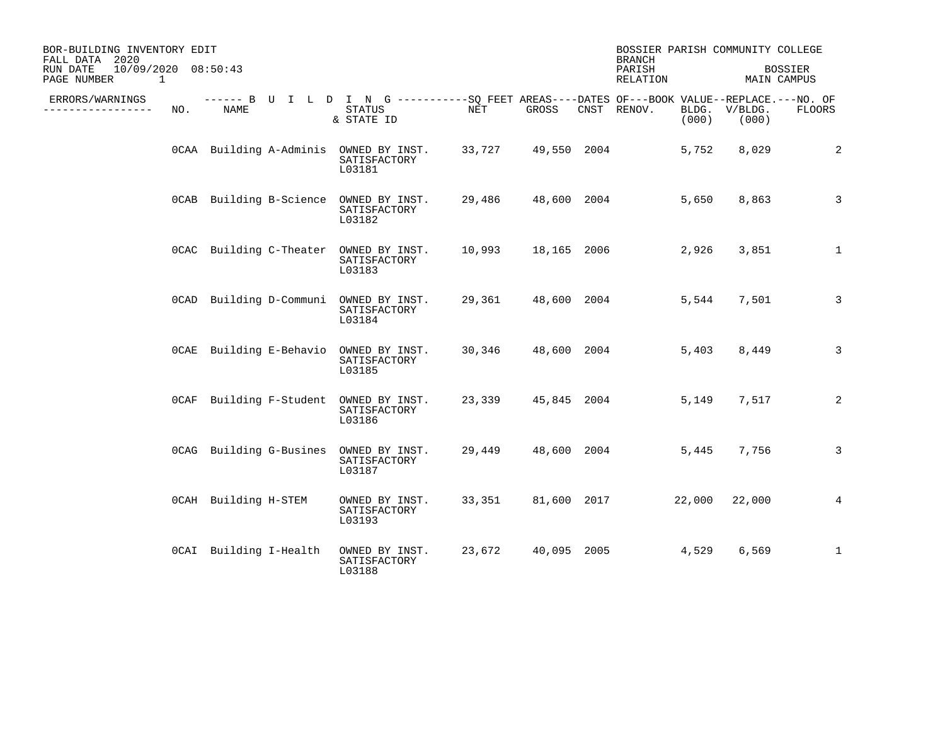| BOR-BUILDING INVENTORY EDIT<br>FALL DATA 2020<br>10/09/2020 08:50:43<br>RUN DATE |     |                        |  |                                                                                                                     |        | <b>BRANCH</b><br>PARISH |  | BOSSIER PARISH COMMUNITY COLLEGE<br><b>BOSSIER</b> |       |                        |                |
|----------------------------------------------------------------------------------|-----|------------------------|--|---------------------------------------------------------------------------------------------------------------------|--------|-------------------------|--|----------------------------------------------------|-------|------------------------|----------------|
| PAGE NUMBER<br>$\overline{\phantom{1}}$                                          |     |                        |  |                                                                                                                     |        |                         |  | RELATION                                           |       | MAIN CAMPUS            |                |
| ERRORS/WARNINGS<br>--------------                                                | NO. | NAME                   |  | ------ B U I L D I N G -----------SQ FEET AREAS----DATES OF---BOOK VALUE--REPLACE.---NO. OF<br>STATUS<br>& STATE ID | NET    | GROSS                   |  | CNST RENOV.                                        | (000) | BLDG. V/BLDG.<br>(000) | FLOORS         |
|                                                                                  |     |                        |  | OCAA Building A-Adminis OWNED BY INST. 33,727 49,550 2004<br>SATISFACTORY<br>L03181                                 |        |                         |  |                                                    |       | 5,752 8,029            | 2              |
|                                                                                  |     |                        |  | OCAB Building B-Science OWNED BY INST.<br>SATISFACTORY<br>L03182                                                    |        |                         |  | 29,486 48,600 2004                                 | 5,650 | 8,863                  | 3              |
|                                                                                  |     |                        |  | OCAC Building C-Theater OWNED BY INST. 10,993 18,165 2006<br>SATISFACTORY<br>L03183                                 |        |                         |  |                                                    |       | 2,926 3,851            | $\mathbf{1}$   |
|                                                                                  |     |                        |  | OCAD Building D-Communi OWNED BY INST.<br>SATISFACTORY<br>L03184                                                    |        |                         |  | 29,361 48,600 2004                                 | 5,544 | 7,501                  | 3              |
|                                                                                  |     |                        |  | OCAE Building E-Behavio OWNED BY INST. 30,346 48,600 2004<br>SATISFACTORY<br>L03185                                 |        |                         |  |                                                    |       | 5,403 8,449            | $\overline{3}$ |
|                                                                                  |     |                        |  | OCAF Building F-Student OWNED BY INST.<br>SATISFACTORY<br>L03186                                                    |        |                         |  | 23,339 45,845 2004                                 | 5,149 | 7,517                  | 2              |
|                                                                                  |     |                        |  | OCAG Building G-Busines OWNED BY INST.<br>SATISFACTORY<br>L03187                                                    |        |                         |  | 29,449 48,600 2004                                 | 5,445 | 7,756                  | 3              |
|                                                                                  |     | OCAH Building H-STEM   |  | OWNED BY INST.<br>SATISFACTORY<br>L03193                                                                            | 33,351 |                         |  | 81,600 2017 22,000                                 |       | 22,000                 | 4              |
|                                                                                  |     | OCAI Building I-Health |  | OWNED BY INST.<br>SATISFACTORY<br>L03188                                                                            |        |                         |  | 23,672 40,095 2005                                 | 4,529 | 6,569                  | $\mathbf{1}$   |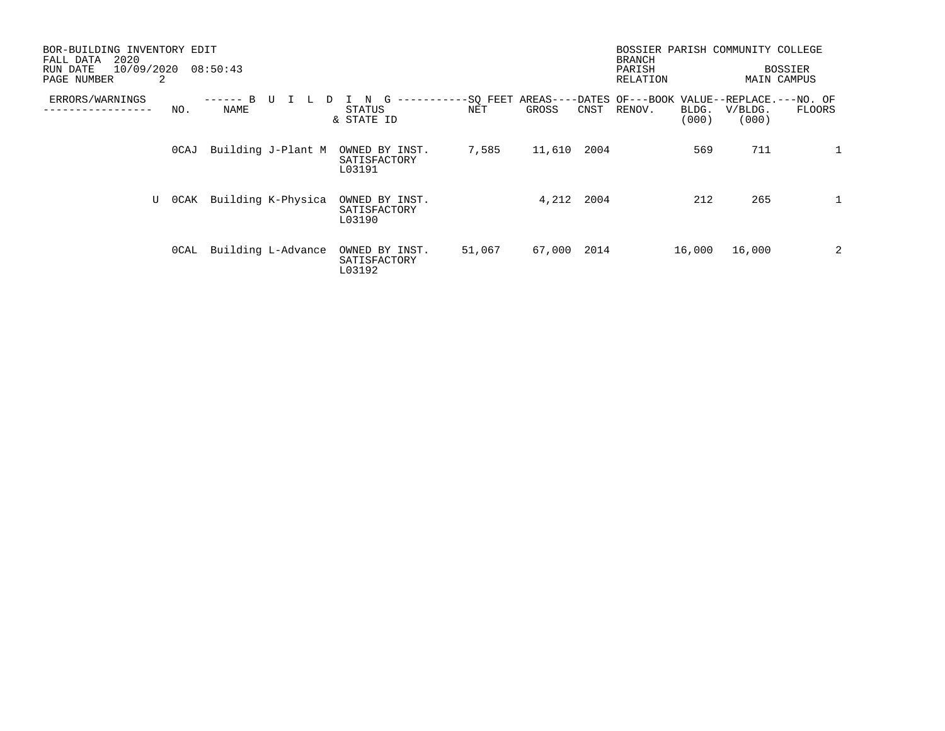| BOR-BUILDING INVENTORY EDIT<br>2020<br>FALL DATA<br>10/09/2020<br>RUN DATE<br>2<br>PAGE NUMBER |       | 08:50:43             |                    |                                          |                 |        |      | BOSSIER PARISH COMMUNITY COLLEGE<br><b>BRANCH</b><br>PARISH<br>RELATION |                |                  | <b>BOSSIER</b><br>MAIN CAMPUS |
|------------------------------------------------------------------------------------------------|-------|----------------------|--------------------|------------------------------------------|-----------------|--------|------|-------------------------------------------------------------------------|----------------|------------------|-------------------------------|
| ERRORS/WARNINGS                                                                                | NO.   | B<br>-------<br>NAME | U<br>┶             | G<br>--------<br>STATUS<br>& STATE ID    | -SQ FEET<br>NET | GROSS  | CNST | AREAS----DATES OF---BOOK VALUE--REPLACE.---NO. OF<br>RENOV.             | BLDG.<br>(000) | V/BLDG.<br>(000) | FLOORS                        |
|                                                                                                | 0CAJ  |                      | Building J-Plant M | OWNED BY INST.<br>SATISFACTORY<br>L03191 | 7,585           | 11,610 | 2004 |                                                                         | 569            | 711              | $\mathbf{1}$                  |
| U                                                                                              | 0 CAK |                      | Building K-Physica | OWNED BY INST.<br>SATISFACTORY<br>L03190 |                 | 4,212  | 2004 |                                                                         | 212            | 265              | $\mathbf{1}$                  |
|                                                                                                | OCAL  |                      | Building L-Advance | OWNED BY INST.<br>SATISFACTORY<br>L03192 | 51,067          | 67,000 | 2014 |                                                                         | 16,000         | 16,000           | 2                             |